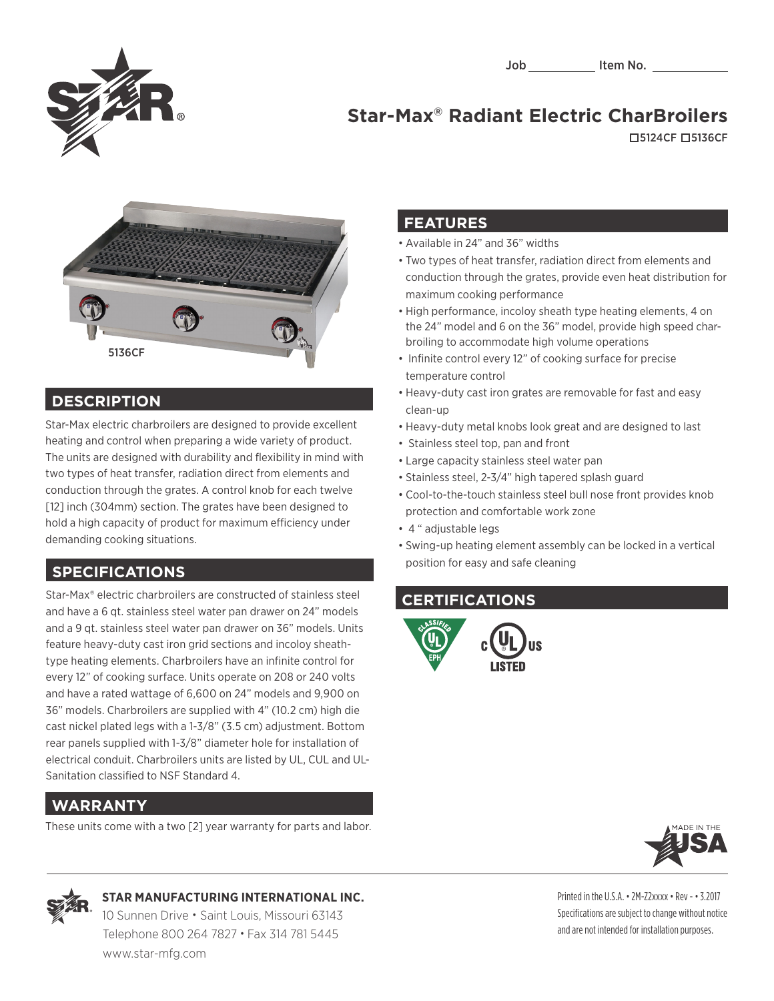

# **Star-Max® Radiant Electric CharBroilers**

5124CF 5136CF



### **DESCRIPTION**

Star-Max electric charbroilers are designed to provide excellent heating and control when preparing a wide variety of product. The units are designed with durability and flexibility in mind with two types of heat transfer, radiation direct from elements and conduction through the grates. A control knob for each twelve [12] inch (304mm) section. The grates have been designed to hold a high capacity of product for maximum efficiency under demanding cooking situations.

# **SPECIFICATIONS**

Star-Max® electric charbroilers are constructed of stainless steel and have a 6 qt. stainless steel water pan drawer on 24" models and a 9 qt. stainless steel water pan drawer on 36" models. Units feature heavy-duty cast iron grid sections and incoloy sheathtype heating elements. Charbroilers have an infinite control for every 12" of cooking surface. Units operate on 208 or 240 volts and have a rated wattage of 6,600 on 24" models and 9,900 on 36" models. Charbroilers are supplied with 4" (10.2 cm) high die cast nickel plated legs with a 1-3/8" (3.5 cm) adjustment. Bottom rear panels supplied with 1-3/8" diameter hole for installation of electrical conduit. Charbroilers units are listed by UL, CUL and UL-Sanitation classified to NSF Standard 4.

# **WARRANTY**

These units come with a two [2] year warranty for parts and labor.

#### **FEATURES**

- Available in 24" and 36" widths
- Two types of heat transfer, radiation direct from elements and conduction through the grates, provide even heat distribution for maximum cooking performance
- High performance, incoloy sheath type heating elements, 4 on the 24" model and 6 on the 36" model, provide high speed charbroiling to accommodate high volume operations
- Infinite control every 12" of cooking surface for precise temperature control
- Heavy-duty cast iron grates are removable for fast and easy clean-up
- Heavy-duty metal knobs look great and are designed to last
- Stainless steel top, pan and front
- Large capacity stainless steel water pan
- Stainless steel, 2-3/4" high tapered splash guard
- Cool-to-the-touch stainless steel bull nose front provides knob protection and comfortable work zone
- 4 " adjustable legs
- Swing-up heating element assembly can be locked in a vertical position for easy and safe cleaning

# **CERTIFICATIONS**







#### **STAR MANUFACTURING INTERNATIONAL INC.**

 10 Sunnen Drive • Saint Louis, Missouri 63143 Telephone 800 264 7827 • Fax 314 781 5445 www.star-mfg.com

Printed in the U.S.A. • 2M-Z2xxxx • Rev - • 3.2017 Specifications are subject to change without notice and are not intended for installation purposes.